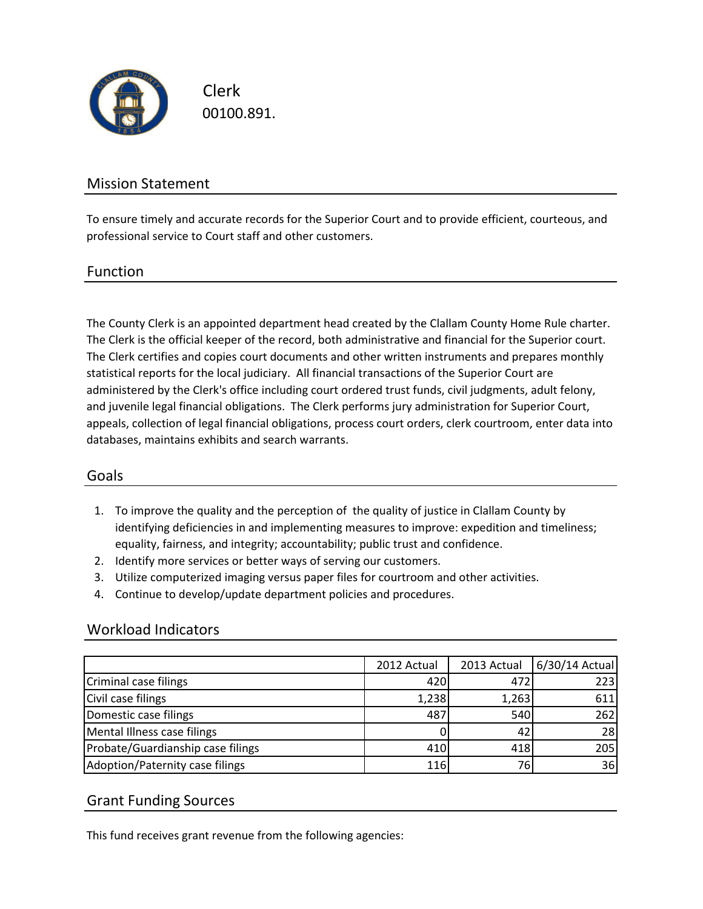

Clerk 00100.891.

# Mission Statement

To ensure timely and accurate records for the Superior Court and to provide efficient, courteous, and professional service to Court staff and other customers.

### Function

The County Clerk is an appointed department head created by the Clallam County Home Rule charter. The Clerk is the official keeper of the record, both administrative and financial for the Superior court. The Clerk certifies and copies court documents and other written instruments and prepares monthly statistical reports for the local judiciary. All financial transactions of the Superior Court are administered by the Clerk's office including court ordered trust funds, civil judgments, adult felony, and juvenile legal financial obligations. The Clerk performs jury administration for Superior Court, appeals, collection of legal financial obligations, process court orders, clerk courtroom, enter data into databases, maintains exhibits and search warrants.

## Goals

- 1. To improve the quality and the perception of the quality of justice in Clallam County by identifying deficiencies in and implementing measures to improve: expedition and timeliness; equality, fairness, and integrity; accountability; public trust and confidence.
- 2. Identify more services or better ways of serving our customers.
- 3. Utilize computerized imaging versus paper files for courtroom and other activities.
- 4. Continue to develop/update department policies and procedures.

#### Workload Indicators

|                                   | 2012 Actual | 2013 Actual | 6/30/14 Actual |
|-----------------------------------|-------------|-------------|----------------|
| Criminal case filings             | 420         | 472         | 223            |
| Civil case filings                | 1,238       | 1,263       | 611            |
| Domestic case filings             | 487         | 540         | 262            |
| Mental Illness case filings       |             | 42          | 28             |
| Probate/Guardianship case filings | 410         | 418         | 205            |
| Adoption/Paternity case filings   | 116         | 76          | 36             |

## Grant Funding Sources

This fund receives grant revenue from the following agencies: